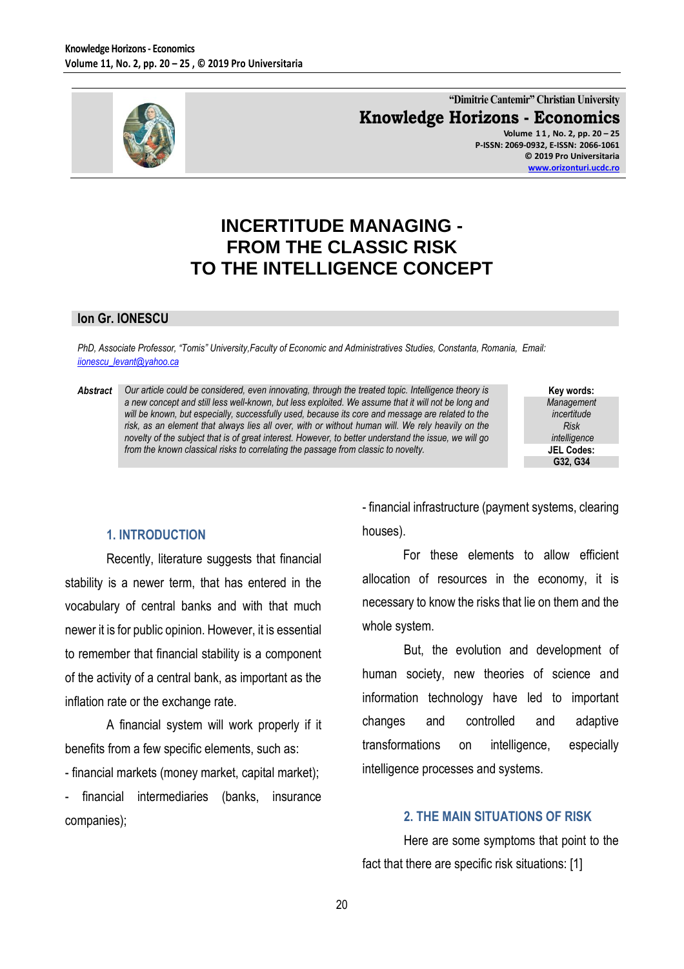

**"Dimitrie Cantemir" Christian University Knowledge Horizons - Economics**

> **Volume 1 1 , No. 2, pp. 20 – 25 P-ISSN: 2069-0932, E-ISSN: 2066-1061 © 2019 Pro Universitaria [www.orizonturi.ucdc.ro](http://www.orizonturi.ucdc.ro/)**

# **INCERTITUDE MANAGING - FROM THE CLASSIC RISK TO THE INTELLIGENCE CONCEPT**

#### **Ion Gr. IONESCU**

*PhD, Associate Professor, "Tomis" University,Faculty of Economic and Administratives Studies, Constanta, Romania, Email: [iionescu\\_levant@yahoo.ca](mailto:iionescu_levant@yahoo.ca)* 

*Abstract Our article could be considered, even innovating, through the treated topic. Intelligence theory is a new concept and still less well-known, but less exploited. We assume that it will not be long and will be known, but especially, successfully used, because its core and message are related to the risk, as an element that always lies all over, with or without human will. We rely heavily on the novelty of the subject that is of great interest. However, to better understand the issue, we will go from the known classical risks to correlating the passage from classic to novelty.*

**Key words:** *Management incertitude Risk intelligence* **JEL Codes: G32, G34**

#### **1. INTRODUCTION**

Recently, literature suggests that financial stability is a newer term, that has entered in the vocabulary of central banks and with that much newer it is for public opinion. However, it is essential to remember that financial stability is a component of the activity of a central bank, as important as the inflation rate or the exchange rate.

A financial system will work properly if it benefits from a few specific elements, such as:

- financial markets (money market, capital market);

- financial intermediaries (banks, insurance companies);

- financial infrastructure (payment systems, clearing houses).

For these elements to allow efficient allocation of resources in the economy, it is necessary to know the risks that lie on them and the whole system.

But, the evolution and development of human society, new theories of science and information technology have led to important changes and controlled and adaptive transformations on intelligence, especially intelligence processes and systems.

#### **2. THE MAIN SITUATIONS OF RISK**

Here are some symptoms that point to the fact that there are specific risk situations: [1]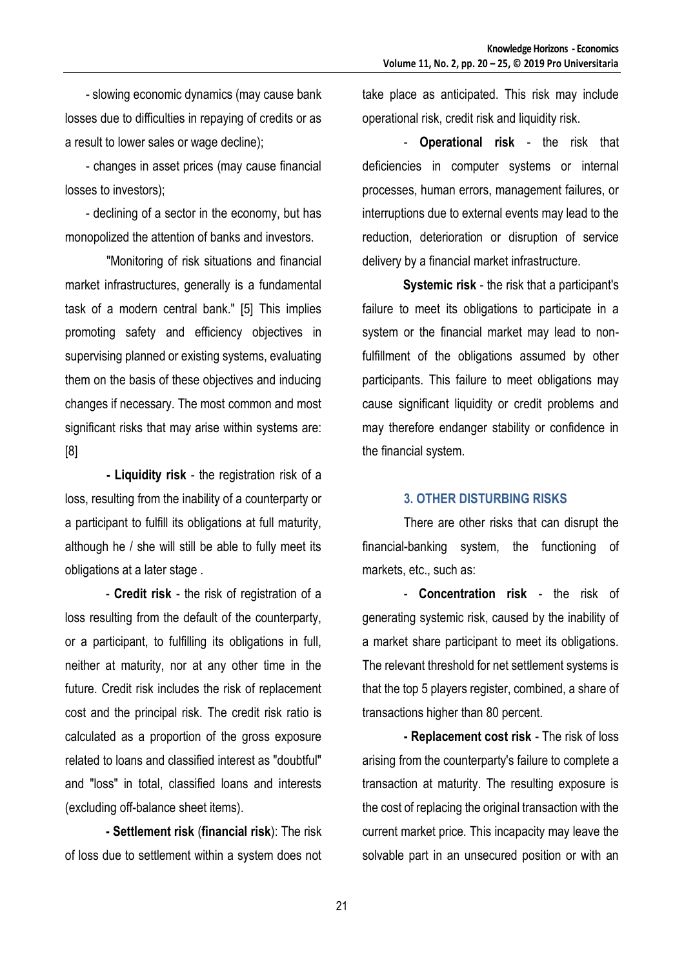- slowing economic dynamics (may cause bank losses due to difficulties in repaying of credits or as a result to lower sales or wage decline);

- changes in asset prices (may cause financial losses to investors);

- declining of a sector in the economy, but has monopolized the attention of banks and investors.

"Monitoring of risk situations and financial market infrastructures, generally is a fundamental task of a modern central bank." [5] This implies promoting safety and efficiency objectives in supervising planned or existing systems, evaluating them on the basis of these objectives and inducing changes if necessary. The most common and most significant risks that may arise within systems are: [8]

**- Liquidity risk** - the registration risk of a loss, resulting from the inability of a counterparty or a participant to fulfill its obligations at full maturity, although he / she will still be able to fully meet its obligations at a later stage .

- **Credit risk** - the risk of registration of a loss resulting from the default of the counterparty, or a participant, to fulfilling its obligations in full, neither at maturity, nor at any other time in the future. Credit risk includes the risk of replacement cost and the principal risk. The credit risk ratio is calculated as a proportion of the gross exposure related to loans and classified interest as "doubtful" and "loss" in total, classified loans and interests (excluding off-balance sheet items).

**- Settlement risk** (**financial risk**): The risk of loss due to settlement within a system does not take place as anticipated. This risk may include operational risk, credit risk and liquidity risk.

- **Operational risk** - the risk that deficiencies in computer systems or internal processes, human errors, management failures, or interruptions due to external events may lead to the reduction, deterioration or disruption of service delivery by a financial market infrastructure.

**Systemic risk** - the risk that a participant's failure to meet its obligations to participate in a system or the financial market may lead to nonfulfillment of the obligations assumed by other participants. This failure to meet obligations may cause significant liquidity or credit problems and may therefore endanger stability or confidence in the financial system.

#### **3. OTHER DISTURBING RISKS**

There are other risks that can disrupt the financial-banking system, the functioning of markets, etc., such as:

- **Concentration risk** - the risk of generating systemic risk, caused by the inability of a market share participant to meet its obligations. The relevant threshold for net settlement systems is that the top 5 players register, combined, a share of transactions higher than 80 percent.

**- Replacement cost risk** - The risk of loss arising from the counterparty's failure to complete a transaction at maturity. The resulting exposure is the cost of replacing the original transaction with the current market price. This incapacity may leave the solvable part in an unsecured position or with an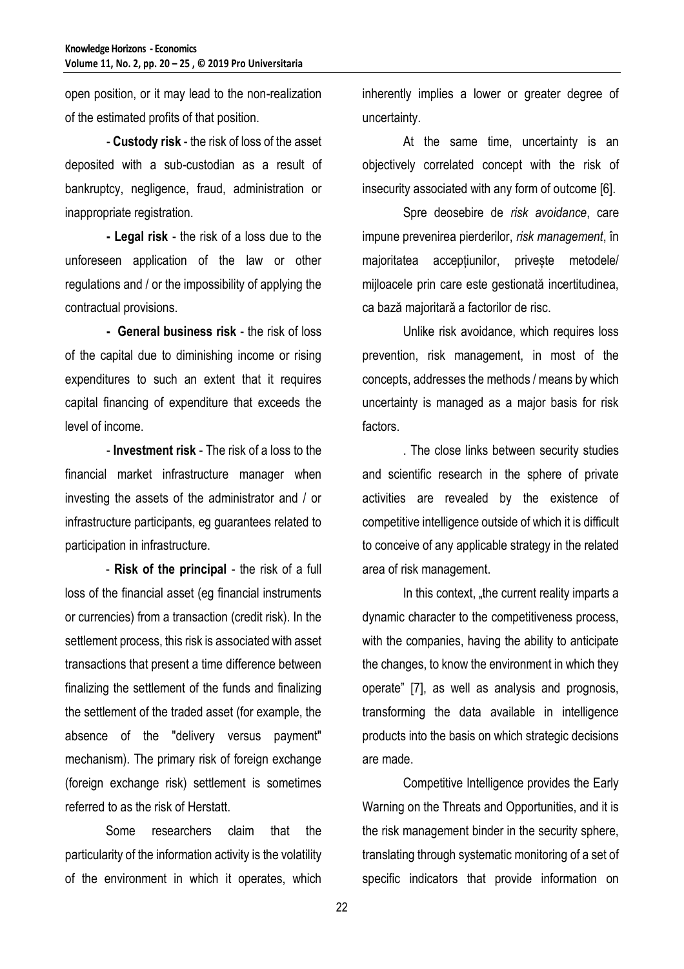open position, or it may lead to the non-realization of the estimated profits of that position.

- **Custody risk** - the risk of loss of the asset deposited with a sub-custodian as a result of bankruptcy, negligence, fraud, administration or inappropriate registration.

**- Legal risk** - the risk of a loss due to the unforeseen application of the law or other regulations and / or the impossibility of applying the contractual provisions.

**- General business risk** - the risk of loss of the capital due to diminishing income or rising expenditures to such an extent that it requires capital financing of expenditure that exceeds the level of income.

- **Investment risk** - The risk of a loss to the financial market infrastructure manager when investing the assets of the administrator and / or infrastructure participants, eg guarantees related to participation in infrastructure.

- **Risk of the principal** - the risk of a full loss of the financial asset (eg financial instruments or currencies) from a transaction (credit risk). In the settlement process, this risk is associated with asset transactions that present a time difference between finalizing the settlement of the funds and finalizing the settlement of the traded asset (for example, the absence of the "delivery versus payment" mechanism). The primary risk of foreign exchange (foreign exchange risk) settlement is sometimes referred to as the risk of Herstatt.

Some researchers claim that the particularity of the information activity is the volatility of the environment in which it operates, which

inherently implies a lower or greater degree of uncertainty.

At the same time, uncertainty is an objectively correlated concept with the risk of insecurity associated with any form of outcome [6].

Spre deosebire de *risk avoidance*, care impune prevenirea pierderilor, *risk management*, în majoritatea acceptiunilor, priveste metodele/ mijloacele prin care este gestionată incertitudinea, ca bază majoritară a factorilor de risc.

Unlike risk avoidance, which requires loss prevention, risk management, in most of the concepts, addresses the methods / means by which uncertainty is managed as a major basis for risk factors.

. The close links between security studies and scientific research in the sphere of private activities are revealed by the existence of competitive intelligence outside of which it is difficult to conceive of any applicable strategy in the related area of risk management.

In this context, "the current reality imparts a dynamic character to the competitiveness process, with the companies, having the ability to anticipate the changes, to know the environment in which they operate" [7], as well as analysis and prognosis, transforming the data available in intelligence products into the basis on which strategic decisions are made.

Competitive Intelligence provides the Early Warning on the Threats and Opportunities, and it is the risk management binder in the security sphere, translating through systematic monitoring of a set of specific indicators that provide information on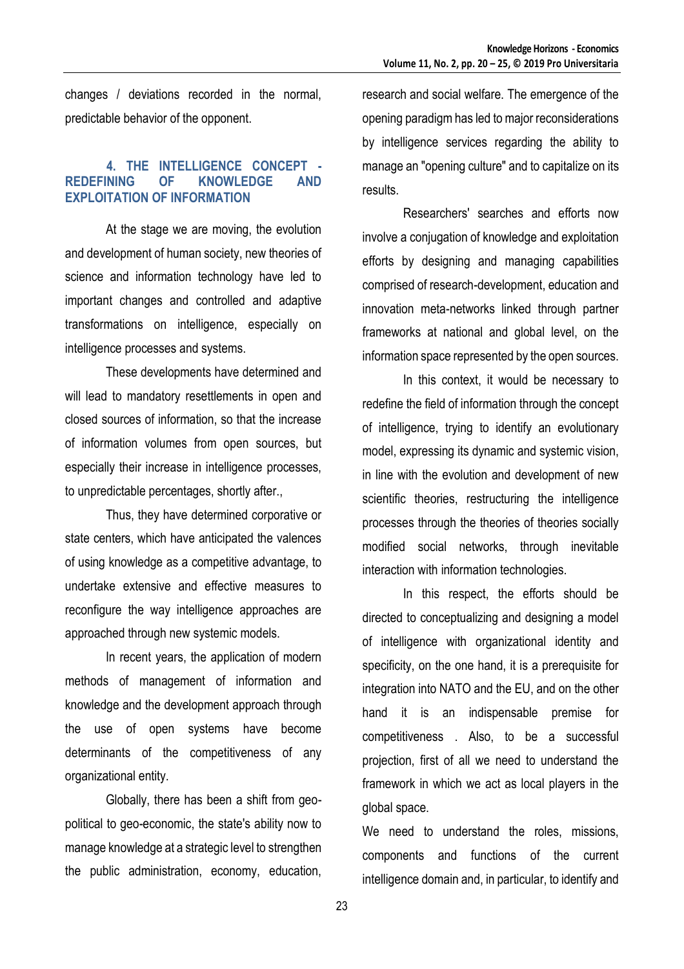changes / deviations recorded in the normal, predictable behavior of the opponent.

## **4. THE INTELLIGENCE CONCEPT - REDEFINING OF KNOWLEDGE AND EXPLOITATION OF INFORMATION**

At the stage we are moving, the evolution and development of human society, new theories of science and information technology have led to important changes and controlled and adaptive transformations on intelligence, especially on intelligence processes and systems.

These developments have determined and will lead to mandatory resettlements in open and closed sources of information, so that the increase of information volumes from open sources, but especially their increase in intelligence processes, to unpredictable percentages, shortly after.,

Thus, they have determined corporative or state centers, which have anticipated the valences of using knowledge as a competitive advantage, to undertake extensive and effective measures to reconfigure the way intelligence approaches are approached through new systemic models.

In recent years, the application of modern methods of management of information and knowledge and the development approach through the use of open systems have become determinants of the competitiveness of any organizational entity.

Globally, there has been a shift from geopolitical to geo-economic, the state's ability now to manage knowledge at a strategic level to strengthen the public administration, economy, education,

research and social welfare. The emergence of the opening paradigm has led to major reconsiderations by intelligence services regarding the ability to manage an "opening culture" and to capitalize on its results.

Researchers' searches and efforts now involve a conjugation of knowledge and exploitation efforts by designing and managing capabilities comprised of research-development, education and innovation meta-networks linked through partner frameworks at national and global level, on the information space represented by the open sources.

In this context, it would be necessary to redefine the field of information through the concept of intelligence, trying to identify an evolutionary model, expressing its dynamic and systemic vision, in line with the evolution and development of new scientific theories, restructuring the intelligence processes through the theories of theories socially modified social networks, through inevitable interaction with information technologies.

In this respect, the efforts should be directed to conceptualizing and designing a model of intelligence with organizational identity and specificity, on the one hand, it is a prerequisite for integration into NATO and the EU, and on the other hand it is an indispensable premise for competitiveness . Also, to be a successful projection, first of all we need to understand the framework in which we act as local players in the global space.

We need to understand the roles, missions, components and functions of the current intelligence domain and, in particular, to identify and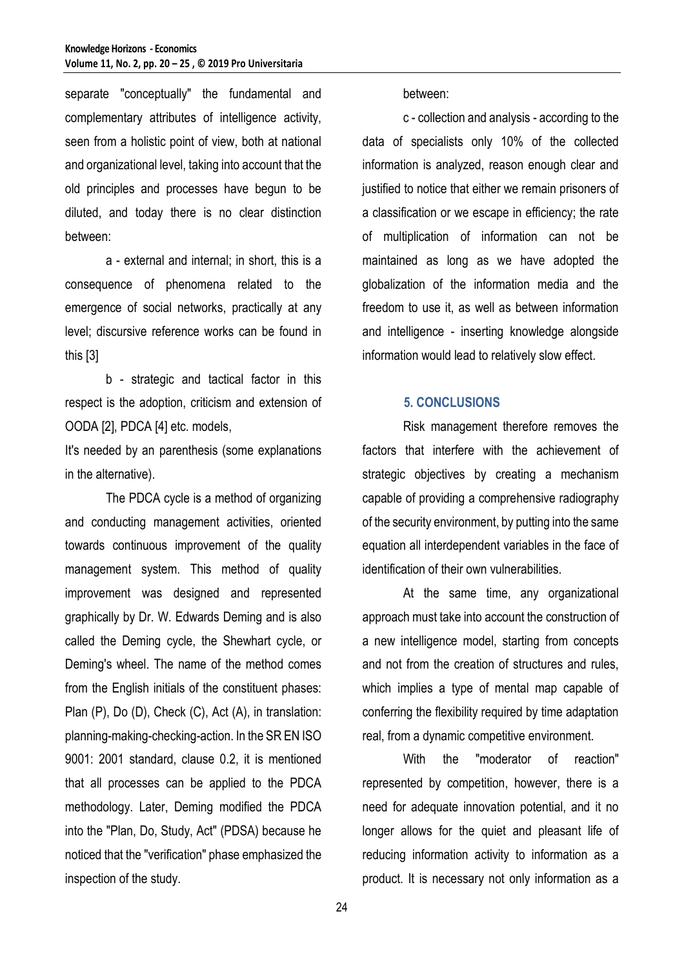separate "conceptually" the fundamental and complementary attributes of intelligence activity, seen from a holistic point of view, both at national and organizational level, taking into account that the old principles and processes have begun to be diluted, and today there is no clear distinction between:

a - external and internal; in short, this is a consequence of phenomena related to the emergence of social networks, practically at any level; discursive reference works can be found in this [3]

b - strategic and tactical factor in this respect is the adoption, criticism and extension of OODA [2], PDCA [4] etc. models,

It's needed by an parenthesis (some explanations in the alternative).

The PDCA cycle is a method of organizing and conducting management activities, oriented towards continuous improvement of the quality management system. This method of quality improvement was designed and represented graphically by Dr. W. Edwards Deming and is also called the Deming cycle, the Shewhart cycle, or Deming's wheel. The name of the method comes from the English initials of the constituent phases: Plan (P), Do (D), Check (C), Act (A), in translation: planning-making-checking-action. In the SR EN ISO 9001: 2001 standard, clause 0.2, it is mentioned that all processes can be applied to the PDCA methodology. Later, Deming modified the PDCA into the "Plan, Do, Study, Act" (PDSA) because he noticed that the "verification" phase emphasized the inspection of the study.

between:

c - collection and analysis - according to the data of specialists only 10% of the collected information is analyzed, reason enough clear and justified to notice that either we remain prisoners of a classification or we escape in efficiency; the rate of multiplication of information can not be maintained as long as we have adopted the globalization of the information media and the freedom to use it, as well as between information and intelligence - inserting knowledge alongside information would lead to relatively slow effect.

### **5. CONCLUSIONS**

Risk management therefore removes the factors that interfere with the achievement of strategic objectives by creating a mechanism capable of providing a comprehensive radiography of the security environment, by putting into the same equation all interdependent variables in the face of identification of their own vulnerabilities.

At the same time, any organizational approach must take into account the construction of a new intelligence model, starting from concepts and not from the creation of structures and rules, which implies a type of mental map capable of conferring the flexibility required by time adaptation real, from a dynamic competitive environment.

With the "moderator of reaction" represented by competition, however, there is a need for adequate innovation potential, and it no longer allows for the quiet and pleasant life of reducing information activity to information as a product. It is necessary not only information as a